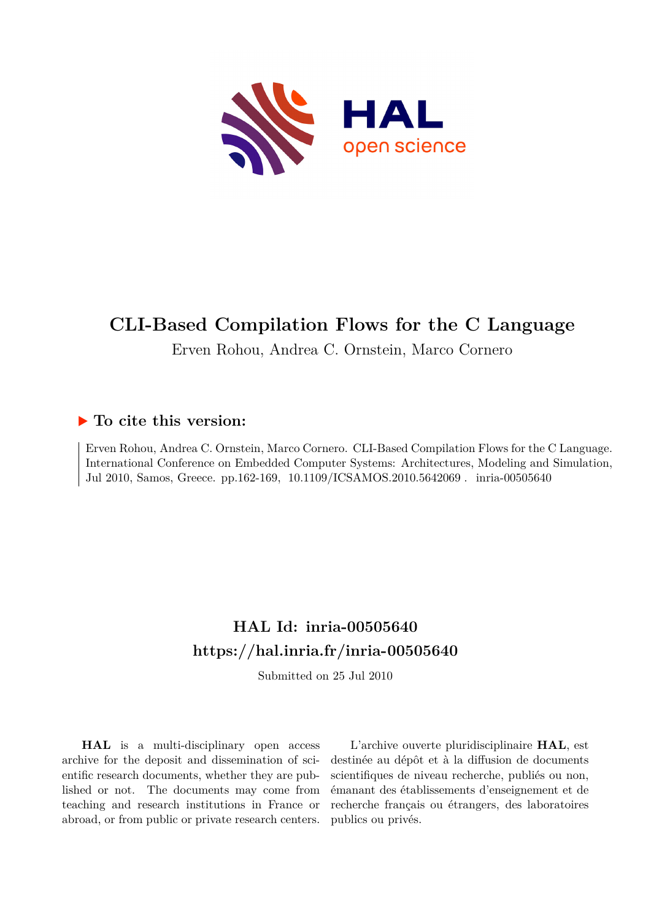

## **CLI-Based Compilation Flows for the C Language**

Erven Rohou, Andrea C. Ornstein, Marco Cornero

### **To cite this version:**

Erven Rohou, Andrea C. Ornstein, Marco Cornero. CLI-Based Compilation Flows for the C Language. International Conference on Embedded Computer Systems: Architectures, Modeling and Simulation, Jul 2010, Samos, Greece. pp.162-169, 10.1109/ICSAMOS.2010.5642069. inria-00505640

## **HAL Id: inria-00505640 <https://hal.inria.fr/inria-00505640>**

Submitted on 25 Jul 2010

**HAL** is a multi-disciplinary open access archive for the deposit and dissemination of scientific research documents, whether they are published or not. The documents may come from teaching and research institutions in France or abroad, or from public or private research centers.

L'archive ouverte pluridisciplinaire **HAL**, est destinée au dépôt et à la diffusion de documents scientifiques de niveau recherche, publiés ou non, émanant des établissements d'enseignement et de recherche français ou étrangers, des laboratoires publics ou privés.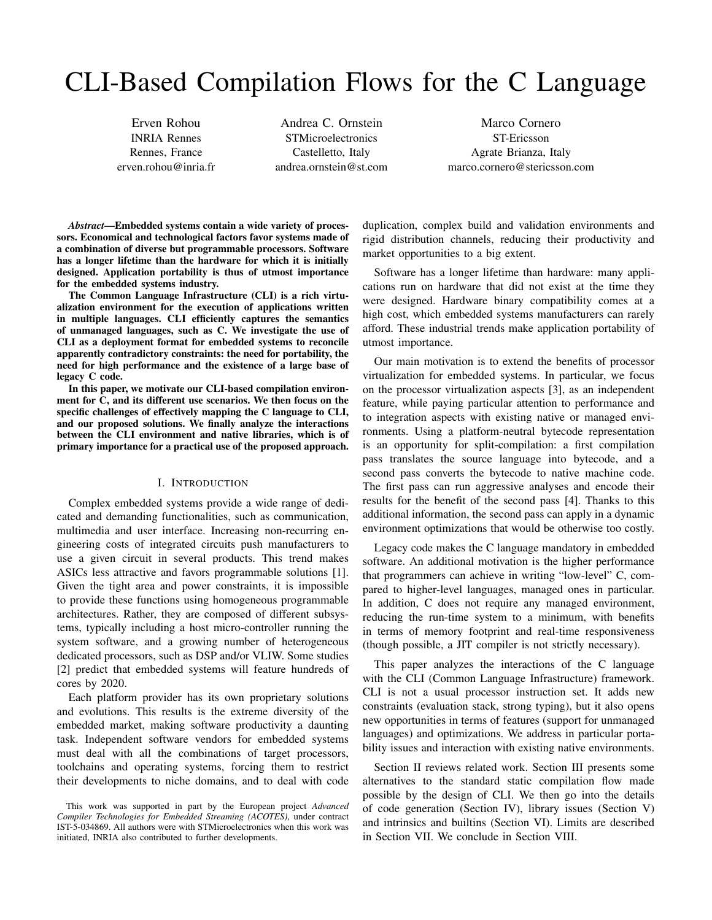# CLI-Based Compilation Flows for the C Language

Erven Rohou INRIA Rennes Rennes, France erven.rohou@inria.fr

Andrea C. Ornstein **STMicroelectronics** Castelletto, Italy andrea.ornstein@st.com

Marco Cornero ST-Ericsson Agrate Brianza, Italy marco.cornero@stericsson.com

*Abstract***—Embedded systems contain a wide variety of processors. Economical and technological factors favor systems made of a combination of diverse but programmable processors. Software has a longer lifetime than the hardware for which it is initially designed. Application portability is thus of utmost importance for the embedded systems industry.**

**The Common Language Infrastructure (CLI) is a rich virtualization environment for the execution of applications written in multiple languages. CLI efficiently captures the semantics of unmanaged languages, such as C. We investigate the use of CLI as a deployment format for embedded systems to reconcile apparently contradictory constraints: the need for portability, the need for high performance and the existence of a large base of legacy C code.**

**In this paper, we motivate our CLI-based compilation environment for C, and its different use scenarios. We then focus on the specific challenges of effectively mapping the C language to CLI, and our proposed solutions. We finally analyze the interactions between the CLI environment and native libraries, which is of primary importance for a practical use of the proposed approach.**

#### I. INTRODUCTION

Complex embedded systems provide a wide range of dedicated and demanding functionalities, such as communication, multimedia and user interface. Increasing non-recurring engineering costs of integrated circuits push manufacturers to use a given circuit in several products. This trend makes ASICs less attractive and favors programmable solutions [1]. Given the tight area and power constraints, it is impossible to provide these functions using homogeneous programmable architectures. Rather, they are composed of different subsystems, typically including a host micro-controller running the system software, and a growing number of heterogeneous dedicated processors, such as DSP and/or VLIW. Some studies [2] predict that embedded systems will feature hundreds of cores by 2020.

Each platform provider has its own proprietary solutions and evolutions. This results is the extreme diversity of the embedded market, making software productivity a daunting task. Independent software vendors for embedded systems must deal with all the combinations of target processors, toolchains and operating systems, forcing them to restrict their developments to niche domains, and to deal with code

duplication, complex build and validation environments and rigid distribution channels, reducing their productivity and market opportunities to a big extent.

Software has a longer lifetime than hardware: many applications run on hardware that did not exist at the time they were designed. Hardware binary compatibility comes at a high cost, which embedded systems manufacturers can rarely afford. These industrial trends make application portability of utmost importance.

Our main motivation is to extend the benefits of processor virtualization for embedded systems. In particular, we focus on the processor virtualization aspects [3], as an independent feature, while paying particular attention to performance and to integration aspects with existing native or managed environments. Using a platform-neutral bytecode representation is an opportunity for split-compilation: a first compilation pass translates the source language into bytecode, and a second pass converts the bytecode to native machine code. The first pass can run aggressive analyses and encode their results for the benefit of the second pass [4]. Thanks to this additional information, the second pass can apply in a dynamic environment optimizations that would be otherwise too costly.

Legacy code makes the C language mandatory in embedded software. An additional motivation is the higher performance that programmers can achieve in writing "low-level" C, compared to higher-level languages, managed ones in particular. In addition, C does not require any managed environment, reducing the run-time system to a minimum, with benefits in terms of memory footprint and real-time responsiveness (though possible, a JIT compiler is not strictly necessary).

This paper analyzes the interactions of the C language with the CLI (Common Language Infrastructure) framework. CLI is not a usual processor instruction set. It adds new constraints (evaluation stack, strong typing), but it also opens new opportunities in terms of features (support for unmanaged languages) and optimizations. We address in particular portability issues and interaction with existing native environments.

Section II reviews related work. Section III presents some alternatives to the standard static compilation flow made possible by the design of CLI. We then go into the details of code generation (Section IV), library issues (Section V) and intrinsics and builtins (Section VI). Limits are described in Section VII. We conclude in Section VIII.

This work was supported in part by the European project *Advanced Compiler Technologies for Embedded Streaming (ACOTES)*, under contract IST-5-034869. All authors were with STMicroelectronics when this work was initiated, INRIA also contributed to further developments.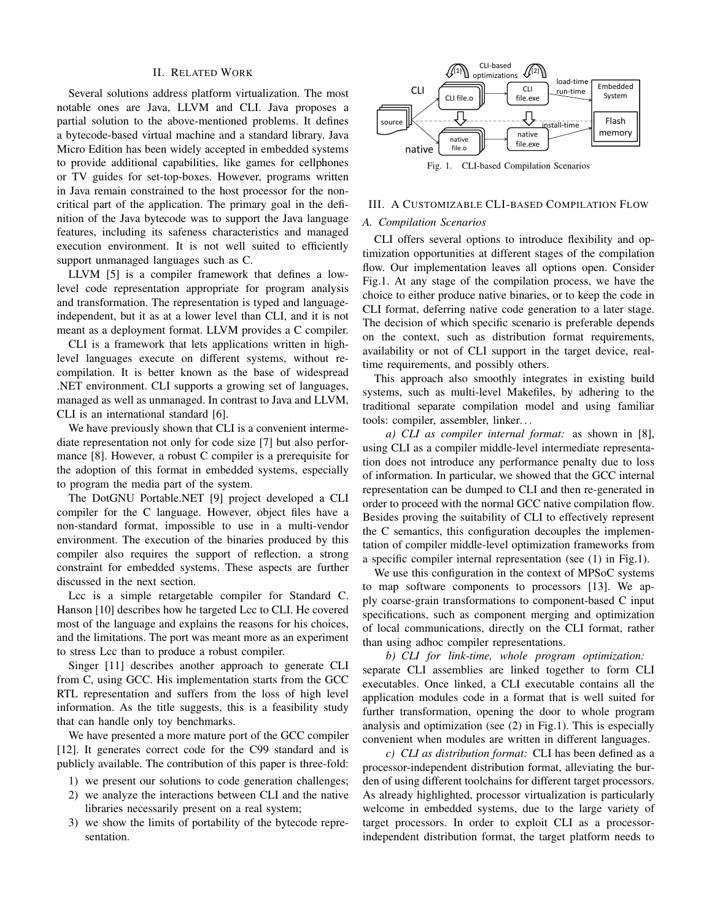#### II. RELATED WORK

Several solutions address platform virtualization. The most notable ones are Java, LLVM and CLI. Java proposes a partial solution to the above-mentioned problems. It defines a bytecode-based virtual machine and a standard library. Java Micro Edition has been widely accepted in embedded systems to provide additional capabilities, like games for cellphones or TV guides for set-top-boxes. However, programs written in Java remain constrained to the host processor for the noncritical part of the application. The primary goal in the definition of the Java bytecode was to support the Java language features, including its safeness characteristics and managed execution environment. It is not well suited to efficiently support unmanaged languages such as C.

LLVM [5] is a compiler framework that defines a lowlevel code representation appropriate for program analysis and transformation. The representation is typed and languageindependent, but it as at a lower level than CLI, and it is not meant as a deployment format. LLVM provides a C compiler.

CLI is a framework that lets applications written in highlevel languages execute on different systems, without recompilation. It is better known as the base of widespread .NET environment. CLI supports a growing set of languages, managed as well as unmanaged. In contrast to Java and LLVM, CLI is an international standard [6].

We have previously shown that CLI is a convenient intermediate representation not only for code size [7] but also performance [8]. However, a robust C compiler is a prerequisite for the adoption of this format in embedded systems, especially to program the media part of the system.

The DotGNU Portable.NET [9] project developed a CLI compiler for the C language. However, object files have a non-standard format, impossible to use in a multi-vendor environment. The execution of the binaries produced by this compiler also requires the support of reflection, a strong constraint for embedded systems. These aspects are further discussed in the next section.

Lcc is a simple retargetable compiler for Standard C. Hanson [10] describes how he targeted Lcc to CLI. He covered most of the language and explains the reasons for his choices, and the limitations. The port was meant more as an experiment to stress Lcc than to produce a robust compiler.

Singer [11] describes another approach to generate CLI from C, using GCC. His implementation starts from the GCC RTL representation and suffers from the loss of high level information. As the title suggests, this is a feasibility study that can handle only toy benchmarks.

We have presented a more mature port of the GCC compiler [12]. It generates correct code for the C99 standard and is publicly available. The contribution of this paper is three-fold:

- 1) we present our solutions to code generation challenges;
- 2) we analyze the interactions between CLI and the native libraries necessarily present on a real system;
- 3) we show the limits of portability of the bytecode representation.



Fig. 1. CLI-based Compilation Scenarios

#### III. A CUSTOMIZABLE CLI-BASED COMPILATION FLOW

#### *A. Compilation Scenarios*

CLI offers several options to introduce flexibility and optimization opportunities at different stages of the compilation flow. Our implementation leaves all options open. Consider Fig.1. At any stage of the compilation process, we have the choice to either produce native binaries, or to keep the code in CLI format, deferring native code generation to a later stage. The decision of which specific scenario is preferable depends on the context, such as distribution format requirements, availability or not of CLI support in the target device, realtime requirements, and possibly others.

This approach also smoothly integrates in existing build systems, such as multi-level Makefiles, by adhering to the traditional separate compilation model and using familiar tools: compiler, assembler, linker. . .

*a) CLI as compiler internal format:* as shown in [8], using CLI as a compiler middle-level intermediate representation does not introduce any performance penalty due to loss of information. In particular, we showed that the GCC internal representation can be dumped to CLI and then re-generated in order to proceed with the normal GCC native compilation flow. Besides proving the suitability of CLI to effectively represent the C semantics, this configuration decouples the implementation of compiler middle-level optimization frameworks from a specific compiler internal representation (see (1) in Fig.1).

We use this configuration in the context of MPSoC systems to map software components to processors [13]. We apply coarse-grain transformations to component-based C input specifications, such as component merging and optimization of local communications, directly on the CLI format, rather than using adhoc compiler representations.

*b) CLI for link-time, whole program optimization:* separate CLI assemblies are linked together to form CLI executables. Once linked, a CLI executable contains all the application modules code in a format that is well suited for further transformation, opening the door to whole program analysis and optimization (see (2) in Fig.1). This is especially convenient when modules are written in different languages.

*c) CLI as distribution format:* CLI has been defined as a processor-independent distribution format, alleviating the burden of using different toolchains for different target processors. As already highlighted, processor virtualization is particularly welcome in embedded systems, due to the large variety of target processors. In order to exploit CLI as a processorindependent distribution format, the target platform needs to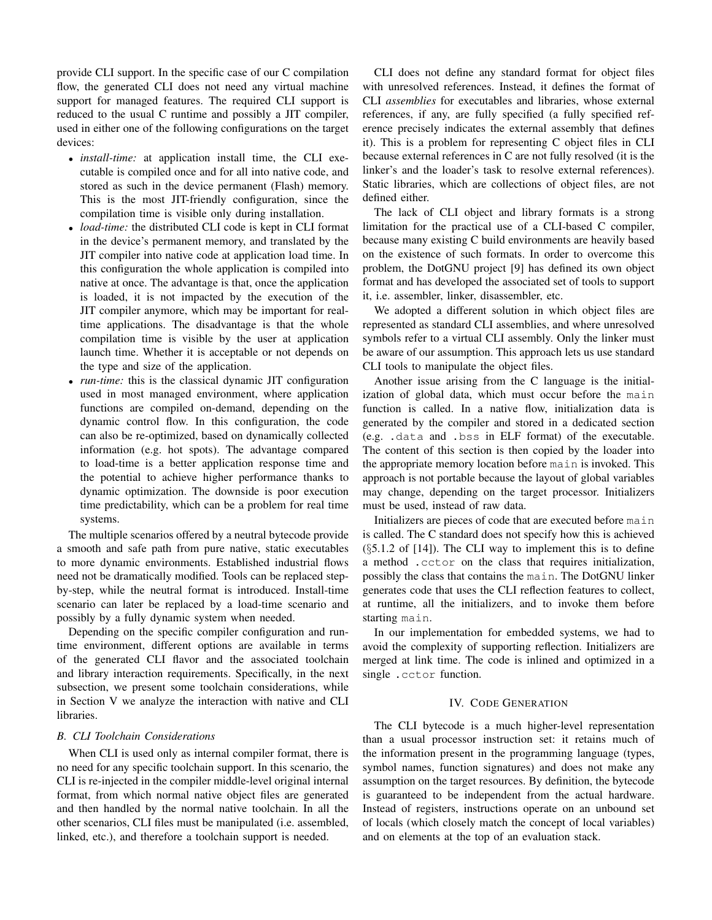provide CLI support. In the specific case of our C compilation flow, the generated CLI does not need any virtual machine support for managed features. The required CLI support is reduced to the usual C runtime and possibly a JIT compiler, used in either one of the following configurations on the target devices:

- *install-time:* at application install time, the CLI executable is compiled once and for all into native code, and stored as such in the device permanent (Flash) memory. This is the most JIT-friendly configuration, since the compilation time is visible only during installation.
- *load-time:* the distributed CLI code is kept in CLI format in the device's permanent memory, and translated by the JIT compiler into native code at application load time. In this configuration the whole application is compiled into native at once. The advantage is that, once the application is loaded, it is not impacted by the execution of the JIT compiler anymore, which may be important for realtime applications. The disadvantage is that the whole compilation time is visible by the user at application launch time. Whether it is acceptable or not depends on the type and size of the application.
- *run-time:* this is the classical dynamic JIT configuration used in most managed environment, where application functions are compiled on-demand, depending on the dynamic control flow. In this configuration, the code can also be re-optimized, based on dynamically collected information (e.g. hot spots). The advantage compared to load-time is a better application response time and the potential to achieve higher performance thanks to dynamic optimization. The downside is poor execution time predictability, which can be a problem for real time systems.

The multiple scenarios offered by a neutral bytecode provide a smooth and safe path from pure native, static executables to more dynamic environments. Established industrial flows need not be dramatically modified. Tools can be replaced stepby-step, while the neutral format is introduced. Install-time scenario can later be replaced by a load-time scenario and possibly by a fully dynamic system when needed.

Depending on the specific compiler configuration and runtime environment, different options are available in terms of the generated CLI flavor and the associated toolchain and library interaction requirements. Specifically, in the next subsection, we present some toolchain considerations, while in Section V we analyze the interaction with native and CLI libraries.

#### *B. CLI Toolchain Considerations*

When CLI is used only as internal compiler format, there is no need for any specific toolchain support. In this scenario, the CLI is re-injected in the compiler middle-level original internal format, from which normal native object files are generated and then handled by the normal native toolchain. In all the other scenarios, CLI files must be manipulated (i.e. assembled, linked, etc.), and therefore a toolchain support is needed.

CLI does not define any standard format for object files with unresolved references. Instead, it defines the format of CLI *assemblies* for executables and libraries, whose external references, if any, are fully specified (a fully specified reference precisely indicates the external assembly that defines it). This is a problem for representing C object files in CLI because external references in C are not fully resolved (it is the linker's and the loader's task to resolve external references). Static libraries, which are collections of object files, are not defined either.

The lack of CLI object and library formats is a strong limitation for the practical use of a CLI-based C compiler, because many existing C build environments are heavily based on the existence of such formats. In order to overcome this problem, the DotGNU project [9] has defined its own object format and has developed the associated set of tools to support it, i.e. assembler, linker, disassembler, etc.

We adopted a different solution in which object files are represented as standard CLI assemblies, and where unresolved symbols refer to a virtual CLI assembly. Only the linker must be aware of our assumption. This approach lets us use standard CLI tools to manipulate the object files.

Another issue arising from the C language is the initialization of global data, which must occur before the main function is called. In a native flow, initialization data is generated by the compiler and stored in a dedicated section (e.g. .data and .bss in ELF format) of the executable. The content of this section is then copied by the loader into the appropriate memory location before main is invoked. This approach is not portable because the layout of global variables may change, depending on the target processor. Initializers must be used, instead of raw data.

Initializers are pieces of code that are executed before main is called. The C standard does not specify how this is achieved (§5.1.2 of [14]). The CLI way to implement this is to define a method .cctor on the class that requires initialization, possibly the class that contains the main. The DotGNU linker generates code that uses the CLI reflection features to collect, at runtime, all the initializers, and to invoke them before starting main.

In our implementation for embedded systems, we had to avoid the complexity of supporting reflection. Initializers are merged at link time. The code is inlined and optimized in a single .cctor function.

#### IV. CODE GENERATION

The CLI bytecode is a much higher-level representation than a usual processor instruction set: it retains much of the information present in the programming language (types, symbol names, function signatures) and does not make any assumption on the target resources. By definition, the bytecode is guaranteed to be independent from the actual hardware. Instead of registers, instructions operate on an unbound set of locals (which closely match the concept of local variables) and on elements at the top of an evaluation stack.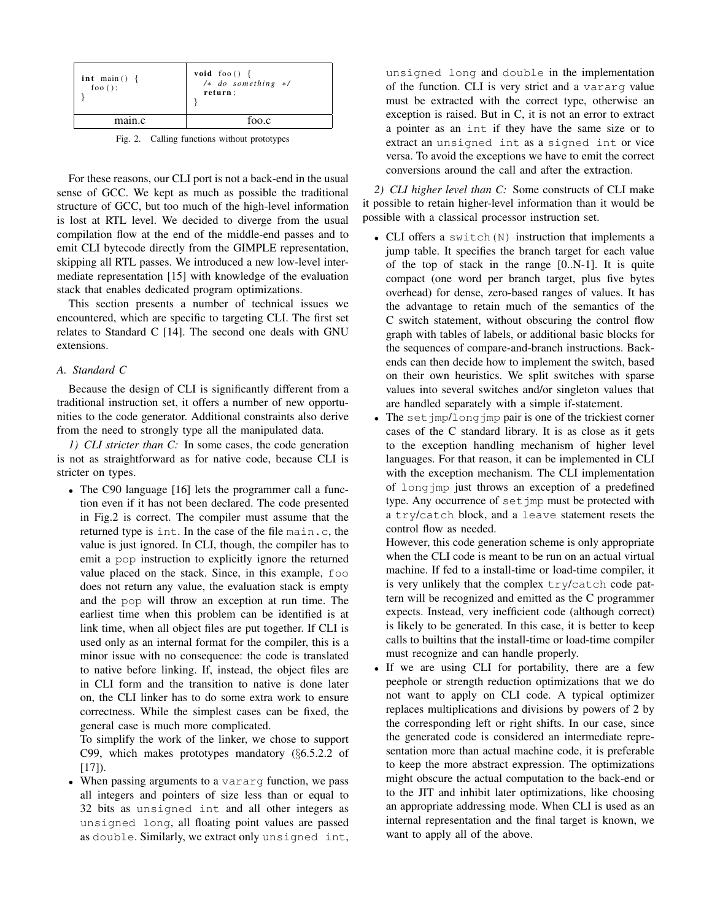| int main() $\{$<br>$foo()$ : | <b>void</b> foo() {<br>$/* do something */$<br>return: |
|------------------------------|--------------------------------------------------------|
| main.c                       | foo.c                                                  |

Fig. 2. Calling functions without prototypes

For these reasons, our CLI port is not a back-end in the usual sense of GCC. We kept as much as possible the traditional structure of GCC, but too much of the high-level information is lost at RTL level. We decided to diverge from the usual compilation flow at the end of the middle-end passes and to emit CLI bytecode directly from the GIMPLE representation, skipping all RTL passes. We introduced a new low-level intermediate representation [15] with knowledge of the evaluation stack that enables dedicated program optimizations.

This section presents a number of technical issues we encountered, which are specific to targeting CLI. The first set relates to Standard C [14]. The second one deals with GNU extensions.

#### *A. Standard C*

Because the design of CLI is significantly different from a traditional instruction set, it offers a number of new opportunities to the code generator. Additional constraints also derive from the need to strongly type all the manipulated data.

*1) CLI stricter than C:* In some cases, the code generation is not as straightforward as for native code, because CLI is stricter on types.

• The C90 language [16] lets the programmer call a function even if it has not been declared. The code presented in Fig.2 is correct. The compiler must assume that the returned type is int. In the case of the file main.c, the value is just ignored. In CLI, though, the compiler has to emit a pop instruction to explicitly ignore the returned value placed on the stack. Since, in this example, foo does not return any value, the evaluation stack is empty and the pop will throw an exception at run time. The earliest time when this problem can be identified is at link time, when all object files are put together. If CLI is used only as an internal format for the compiler, this is a minor issue with no consequence: the code is translated to native before linking. If, instead, the object files are in CLI form and the transition to native is done later on, the CLI linker has to do some extra work to ensure correctness. While the simplest cases can be fixed, the general case is much more complicated.

To simplify the work of the linker, we chose to support C99, which makes prototypes mandatory (§6.5.2.2 of  $[17]$ ).

• When passing arguments to a vararg function, we pass all integers and pointers of size less than or equal to 32 bits as unsigned int and all other integers as unsigned long, all floating point values are passed as double. Similarly, we extract only unsigned int,

unsigned long and double in the implementation of the function. CLI is very strict and a vararg value must be extracted with the correct type, otherwise an exception is raised. But in C, it is not an error to extract a pointer as an int if they have the same size or to extract an unsigned int as a signed int or vice versa. To avoid the exceptions we have to emit the correct conversions around the call and after the extraction.

*2) CLI higher level than C:* Some constructs of CLI make it possible to retain higher-level information than it would be possible with a classical processor instruction set.

- CLI offers a switch $(N)$  instruction that implements a jump table. It specifies the branch target for each value of the top of stack in the range [0..N-1]. It is quite compact (one word per branch target, plus five bytes overhead) for dense, zero-based ranges of values. It has the advantage to retain much of the semantics of the C switch statement, without obscuring the control flow graph with tables of labels, or additional basic blocks for the sequences of compare-and-branch instructions. Backends can then decide how to implement the switch, based on their own heuristics. We split switches with sparse values into several switches and/or singleton values that are handled separately with a simple if-statement.
- The set jmp/long jmp pair is one of the trickiest corner cases of the C standard library. It is as close as it gets to the exception handling mechanism of higher level languages. For that reason, it can be implemented in CLI with the exception mechanism. The CLI implementation of longjmp just throws an exception of a predefined type. Any occurrence of setjmp must be protected with a try/catch block, and a leave statement resets the control flow as needed.

However, this code generation scheme is only appropriate when the CLI code is meant to be run on an actual virtual machine. If fed to a install-time or load-time compiler, it is very unlikely that the complex try/catch code pattern will be recognized and emitted as the C programmer expects. Instead, very inefficient code (although correct) is likely to be generated. In this case, it is better to keep calls to builtins that the install-time or load-time compiler must recognize and can handle properly.

• If we are using CLI for portability, there are a few peephole or strength reduction optimizations that we do not want to apply on CLI code. A typical optimizer replaces multiplications and divisions by powers of 2 by the corresponding left or right shifts. In our case, since the generated code is considered an intermediate representation more than actual machine code, it is preferable to keep the more abstract expression. The optimizations might obscure the actual computation to the back-end or to the JIT and inhibit later optimizations, like choosing an appropriate addressing mode. When CLI is used as an internal representation and the final target is known, we want to apply all of the above.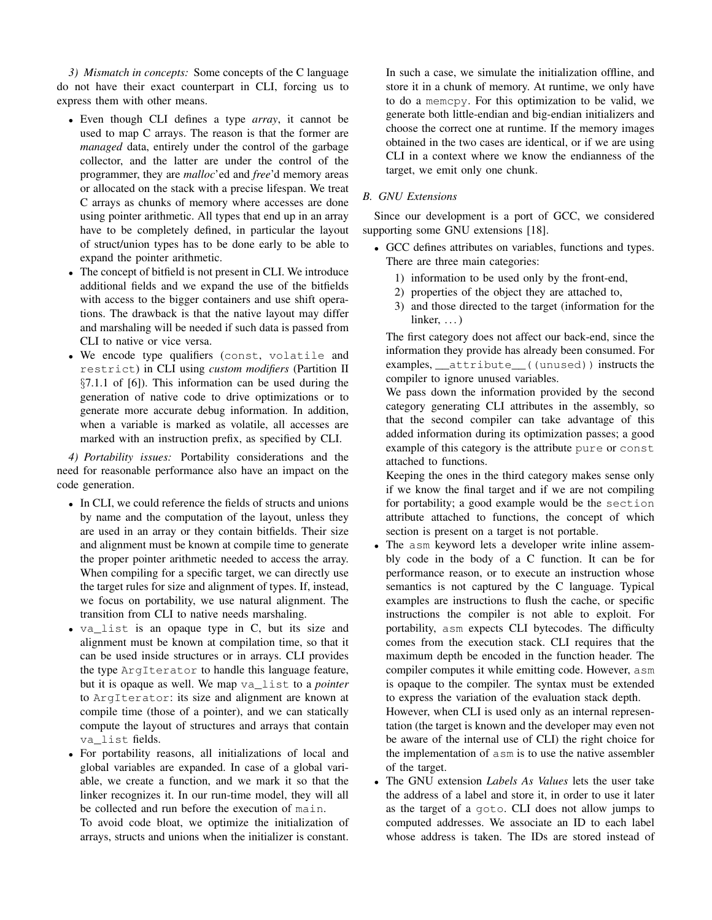*3) Mismatch in concepts:* Some concepts of the C language do not have their exact counterpart in CLI, forcing us to express them with other means.

- Even though CLI defines a type *array*, it cannot be used to map C arrays. The reason is that the former are *managed* data, entirely under the control of the garbage collector, and the latter are under the control of the programmer, they are *malloc*'ed and *free*'d memory areas or allocated on the stack with a precise lifespan. We treat C arrays as chunks of memory where accesses are done using pointer arithmetic. All types that end up in an array have to be completely defined, in particular the layout of struct/union types has to be done early to be able to expand the pointer arithmetic.
- The concept of bitfield is not present in CLI. We introduce additional fields and we expand the use of the bitfields with access to the bigger containers and use shift operations. The drawback is that the native layout may differ and marshaling will be needed if such data is passed from CLI to native or vice versa.
- We encode type qualifiers (const, volatile and restrict) in CLI using *custom modifiers* (Partition II §7.1.1 of [6]). This information can be used during the generation of native code to drive optimizations or to generate more accurate debug information. In addition, when a variable is marked as volatile, all accesses are marked with an instruction prefix, as specified by CLI.

*4) Portability issues:* Portability considerations and the need for reasonable performance also have an impact on the code generation.

- In CLI, we could reference the fields of structs and unions by name and the computation of the layout, unless they are used in an array or they contain bitfields. Their size and alignment must be known at compile time to generate the proper pointer arithmetic needed to access the array. When compiling for a specific target, we can directly use the target rules for size and alignment of types. If, instead, we focus on portability, we use natural alignment. The transition from CLI to native needs marshaling.
- va\_list is an opaque type in C, but its size and alignment must be known at compilation time, so that it can be used inside structures or in arrays. CLI provides the type ArgIterator to handle this language feature, but it is opaque as well. We map va\_list to a *pointer* to ArgIterator: its size and alignment are known at compile time (those of a pointer), and we can statically compute the layout of structures and arrays that contain va\_list fields.
- For portability reasons, all initializations of local and global variables are expanded. In case of a global variable, we create a function, and we mark it so that the linker recognizes it. In our run-time model, they will all be collected and run before the execution of main.

To avoid code bloat, we optimize the initialization of arrays, structs and unions when the initializer is constant.

In such a case, we simulate the initialization offline, and store it in a chunk of memory. At runtime, we only have to do a memcpy. For this optimization to be valid, we generate both little-endian and big-endian initializers and choose the correct one at runtime. If the memory images obtained in the two cases are identical, or if we are using CLI in a context where we know the endianness of the target, we emit only one chunk.

#### *B. GNU Extensions*

Since our development is a port of GCC, we considered supporting some GNU extensions [18].

- GCC defines attributes on variables, functions and types. There are three main categories:
	- 1) information to be used only by the front-end,
	- 2) properties of the object they are attached to,
	- 3) and those directed to the target (information for the  $linker.$ ...

The first category does not affect our back-end, since the information they provide has already been consumed. For examples, \_\_attribute\_\_((unused)) instructs the compiler to ignore unused variables.

We pass down the information provided by the second category generating CLI attributes in the assembly, so that the second compiler can take advantage of this added information during its optimization passes; a good example of this category is the attribute pure or const attached to functions.

Keeping the ones in the third category makes sense only if we know the final target and if we are not compiling for portability; a good example would be the section attribute attached to functions, the concept of which section is present on a target is not portable.

- The asm keyword lets a developer write inline assembly code in the body of a C function. It can be for performance reason, or to execute an instruction whose semantics is not captured by the C language. Typical examples are instructions to flush the cache, or specific instructions the compiler is not able to exploit. For portability, asm expects CLI bytecodes. The difficulty comes from the execution stack. CLI requires that the maximum depth be encoded in the function header. The compiler computes it while emitting code. However, asm is opaque to the compiler. The syntax must be extended to express the variation of the evaluation stack depth. However, when CLI is used only as an internal representation (the target is known and the developer may even not be aware of the internal use of CLI) the right choice for the implementation of asm is to use the native assembler of the target.
- The GNU extension *Labels As Values* lets the user take the address of a label and store it, in order to use it later as the target of a goto. CLI does not allow jumps to computed addresses. We associate an ID to each label whose address is taken. The IDs are stored instead of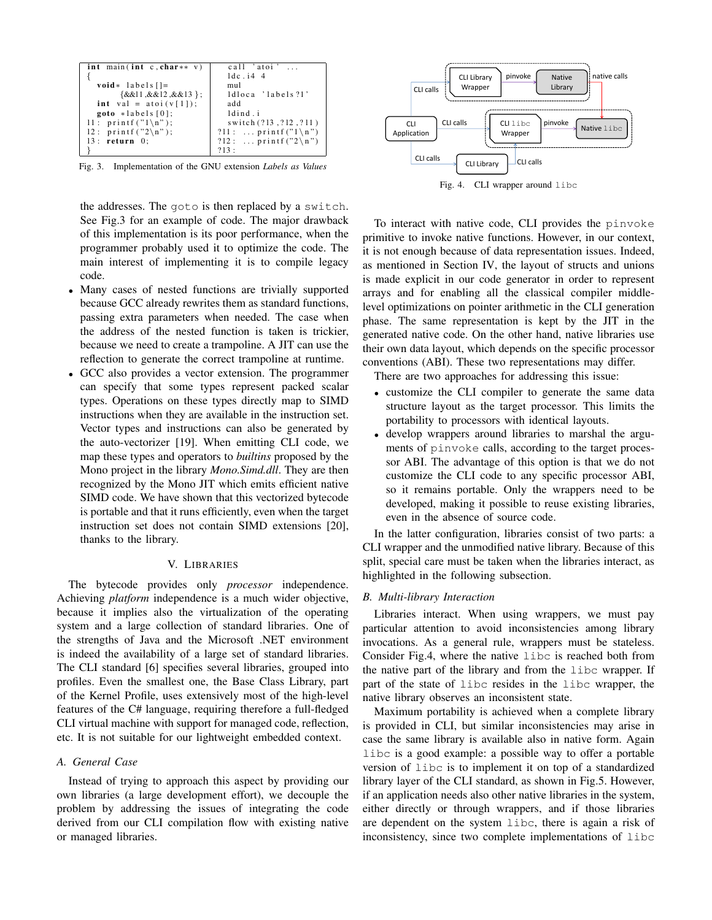| int main(int $c, char** v$ ) | call 'atoi'                                              |
|------------------------------|----------------------------------------------------------|
|                              | $1dc$ . $i4$ 4                                           |
| void $*$ labels $[]=$        | mul                                                      |
| $\{\&\&11,\&\&12,\&\&13\};$  | $1dloca$ 'labels $21$ '                                  |
| $int val = atoi(v[1]):$      | add                                                      |
| $goto *labels[0];$           | ldind.i                                                  |
| 11: $print('1\n'\n)$ ;       | switch (?13, ?12, ?11)                                   |
| 12: $print('2\n')$ ;         | $?11: \ldots$ printf (" $1 \n\overline{\phantom{a}}\$ ") |
| $13:$ return $0:$            | ?12: $print('2 \n^n)$                                    |
|                              | 213:                                                     |

Fig. 3. Implementation of the GNU extension *Labels as Values*

the addresses. The goto is then replaced by a switch. See Fig.3 for an example of code. The major drawback of this implementation is its poor performance, when the programmer probably used it to optimize the code. The main interest of implementing it is to compile legacy code.

- Many cases of nested functions are trivially supported because GCC already rewrites them as standard functions, passing extra parameters when needed. The case when the address of the nested function is taken is trickier, because we need to create a trampoline. A JIT can use the reflection to generate the correct trampoline at runtime.
- GCC also provides a vector extension. The programmer can specify that some types represent packed scalar types. Operations on these types directly map to SIMD instructions when they are available in the instruction set. Vector types and instructions can also be generated by the auto-vectorizer [19]. When emitting CLI code, we map these types and operators to *builtins* proposed by the Mono project in the library *Mono.Simd.dll*. They are then recognized by the Mono JIT which emits efficient native SIMD code. We have shown that this vectorized bytecode is portable and that it runs efficiently, even when the target instruction set does not contain SIMD extensions [20], thanks to the library.

#### V. LIBRARIES

The bytecode provides only *processor* independence. Achieving *platform* independence is a much wider objective, because it implies also the virtualization of the operating system and a large collection of standard libraries. One of the strengths of Java and the Microsoft .NET environment is indeed the availability of a large set of standard libraries. The CLI standard [6] specifies several libraries, grouped into profiles. Even the smallest one, the Base Class Library, part of the Kernel Profile, uses extensively most of the high-level features of the C# language, requiring therefore a full-fledged CLI virtual machine with support for managed code, reflection, etc. It is not suitable for our lightweight embedded context.

#### *A. General Case*

Instead of trying to approach this aspect by providing our own libraries (a large development effort), we decouple the problem by addressing the issues of integrating the code derived from our CLI compilation flow with existing native or managed libraries.



Fig. 4. CLI wrapper around libc

To interact with native code, CLI provides the pinvoke primitive to invoke native functions. However, in our context, it is not enough because of data representation issues. Indeed, as mentioned in Section IV, the layout of structs and unions is made explicit in our code generator in order to represent arrays and for enabling all the classical compiler middlelevel optimizations on pointer arithmetic in the CLI generation phase. The same representation is kept by the JIT in the generated native code. On the other hand, native libraries use their own data layout, which depends on the specific processor conventions (ABI). These two representations may differ.

There are two approaches for addressing this issue:

- customize the CLI compiler to generate the same data structure layout as the target processor. This limits the portability to processors with identical layouts.
- develop wrappers around libraries to marshal the arguments of pinvoke calls, according to the target processor ABI. The advantage of this option is that we do not customize the CLI code to any specific processor ABI, so it remains portable. Only the wrappers need to be developed, making it possible to reuse existing libraries, even in the absence of source code.

In the latter configuration, libraries consist of two parts: a CLI wrapper and the unmodified native library. Because of this split, special care must be taken when the libraries interact, as highlighted in the following subsection.

#### *B. Multi-library Interaction*

Libraries interact. When using wrappers, we must pay particular attention to avoid inconsistencies among library invocations. As a general rule, wrappers must be stateless. Consider Fig.4, where the native libc is reached both from the native part of the library and from the libc wrapper. If part of the state of libc resides in the libc wrapper, the native library observes an inconsistent state.

Maximum portability is achieved when a complete library is provided in CLI, but similar inconsistencies may arise in case the same library is available also in native form. Again libc is a good example: a possible way to offer a portable version of libc is to implement it on top of a standardized library layer of the CLI standard, as shown in Fig.5. However, if an application needs also other native libraries in the system, either directly or through wrappers, and if those libraries are dependent on the system libc, there is again a risk of inconsistency, since two complete implementations of libc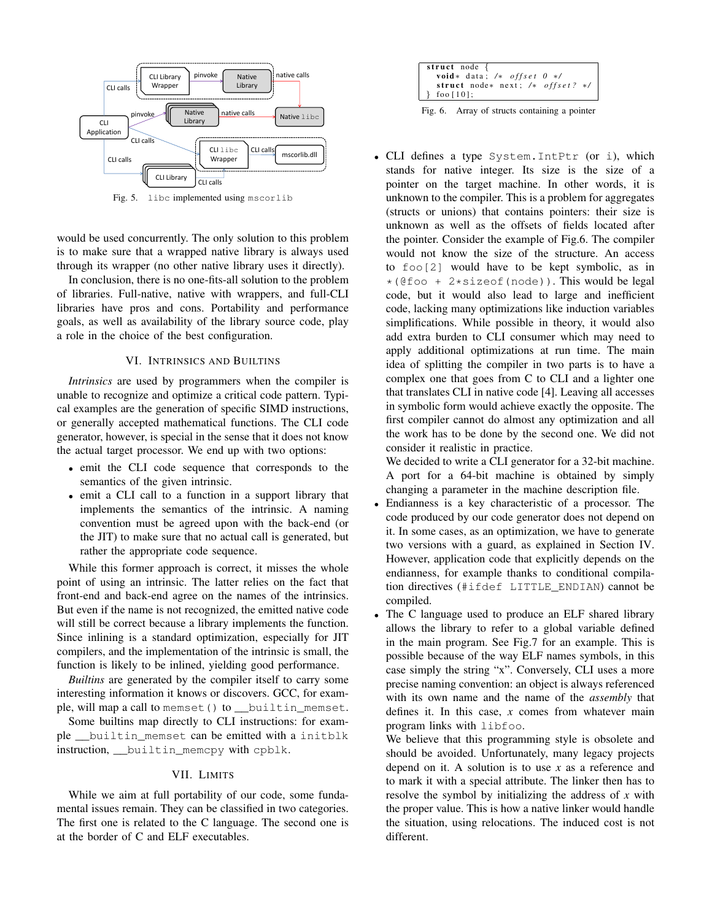

Fig. 5. libc implemented using mscorlib

would be used concurrently. The only solution to this problem is to make sure that a wrapped native library is always used through its wrapper (no other native library uses it directly).

In conclusion, there is no one-fits-all solution to the problem of libraries. Full-native, native with wrappers, and full-CLI libraries have pros and cons. Portability and performance goals, as well as availability of the library source code, play a role in the choice of the best configuration.

#### VI. INTRINSICS AND BUILTINS

*Intrinsics* are used by programmers when the compiler is unable to recognize and optimize a critical code pattern. Typical examples are the generation of specific SIMD instructions, or generally accepted mathematical functions. The CLI code generator, however, is special in the sense that it does not know the actual target processor. We end up with two options:

- emit the CLI code sequence that corresponds to the semantics of the given intrinsic.
- emit a CLI call to a function in a support library that implements the semantics of the intrinsic. A naming convention must be agreed upon with the back-end (or the JIT) to make sure that no actual call is generated, but rather the appropriate code sequence.

While this former approach is correct, it misses the whole point of using an intrinsic. The latter relies on the fact that front-end and back-end agree on the names of the intrinsics. But even if the name is not recognized, the emitted native code will still be correct because a library implements the function. Since inlining is a standard optimization, especially for JIT compilers, and the implementation of the intrinsic is small, the function is likely to be inlined, yielding good performance.

*Builtins* are generated by the compiler itself to carry some interesting information it knows or discovers. GCC, for example, will map a call to memset() to \_\_builtin\_memset.

Some builtins map directly to CLI instructions: for example \_\_builtin\_memset can be emitted with a initblk instruction, \_\_builtin\_memcpy with cpblk.

#### VII. LIMITS

While we aim at full portability of our code, some fundamental issues remain. They can be classified in two categories. The first one is related to the C language. The second one is at the border of C and ELF executables.

|  | struct node $\{$<br>void * data; /* $offset$ 0 */<br>struct node* next; /* $offset?$ */<br>$\}$ foo [10]; |  |  |
|--|-----------------------------------------------------------------------------------------------------------|--|--|
|--|-----------------------------------------------------------------------------------------------------------|--|--|

Fig. 6. Array of structs containing a pointer

• CLI defines a type System.IntPtr (or i), which stands for native integer. Its size is the size of a pointer on the target machine. In other words, it is unknown to the compiler. This is a problem for aggregates (structs or unions) that contains pointers: their size is unknown as well as the offsets of fields located after the pointer. Consider the example of Fig.6. The compiler would not know the size of the structure. An access to foo[2] would have to be kept symbolic, as in \*(@foo + 2\*sizeof(node)). This would be legal code, but it would also lead to large and inefficient code, lacking many optimizations like induction variables simplifications. While possible in theory, it would also add extra burden to CLI consumer which may need to apply additional optimizations at run time. The main idea of splitting the compiler in two parts is to have a complex one that goes from C to CLI and a lighter one that translates CLI in native code [4]. Leaving all accesses in symbolic form would achieve exactly the opposite. The first compiler cannot do almost any optimization and all the work has to be done by the second one. We did not consider it realistic in practice.

We decided to write a CLI generator for a 32-bit machine. A port for a 64-bit machine is obtained by simply changing a parameter in the machine description file.

- Endianness is a key characteristic of a processor. The code produced by our code generator does not depend on it. In some cases, as an optimization, we have to generate two versions with a guard, as explained in Section IV. However, application code that explicitly depends on the endianness, for example thanks to conditional compilation directives (#ifdef LITTLE\_ENDIAN) cannot be compiled.
- The C language used to produce an ELF shared library allows the library to refer to a global variable defined in the main program. See Fig.7 for an example. This is possible because of the way ELF names symbols, in this case simply the string "x". Conversely, CLI uses a more precise naming convention: an object is always referenced with its own name and the name of the *assembly* that defines it. In this case, *x* comes from whatever main program links with libfoo.

We believe that this programming style is obsolete and should be avoided. Unfortunately, many legacy projects depend on it. A solution is to use *x* as a reference and to mark it with a special attribute. The linker then has to resolve the symbol by initializing the address of *x* with the proper value. This is how a native linker would handle the situation, using relocations. The induced cost is not different.